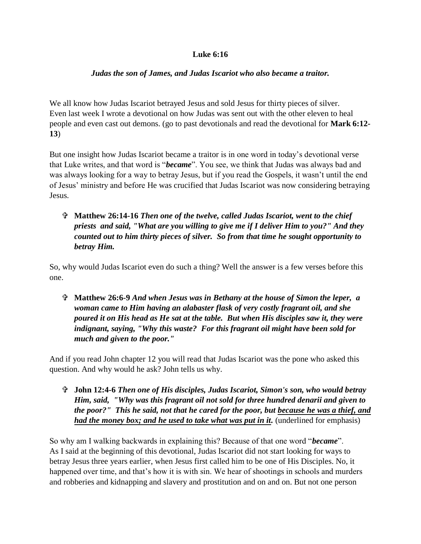## **Luke 6:16**

## *Judas the son of James, and Judas Iscariot who also became a traitor.*

We all know how Judas Iscariot betrayed Jesus and sold Jesus for thirty pieces of silver. Even last week I wrote a devotional on how Judas was sent out with the other eleven to heal people and even cast out demons. (go to past devotionals and read the devotional for **Mark 6:12- 13**)

But one insight how Judas Iscariot became a traitor is in one word in today's devotional verse that Luke writes, and that word is "*became*". You see, we think that Judas was always bad and was always looking for a way to betray Jesus, but if you read the Gospels, it wasn't until the end of Jesus' ministry and before He was crucified that Judas Iscariot was now considering betraying Jesus.

## **Matthew 26:14-16** *Then one of the twelve, called Judas Iscariot, went to the chief priests and said, "What are you willing to give me if I deliver Him to you?" And they counted out to him thirty pieces of silver. So from that time he sought opportunity to betray Him.*

So, why would Judas Iscariot even do such a thing? Well the answer is a few verses before this one.

 **Matthew 26:6-9** *And when Jesus was in Bethany at the house of Simon the leper, a woman came to Him having an alabaster flask of very costly fragrant oil, and she poured it on His head as He sat at the table. But when His disciples saw it, they were indignant, saying, "Why this waste? For this fragrant oil might have been sold for much and given to the poor."*

And if you read John chapter 12 you will read that Judas Iscariot was the pone who asked this question. And why would he ask? John tells us why.

 **John 12:4-6** *Then one of His disciples, Judas Iscariot, Simon's son, who would betray Him, said, "Why was this fragrant oil not sold for three hundred denarii and given to the poor?" This he said, not that he cared for the poor, but because he was a thief, and had the money box; and he used to take what was put in it.* (underlined for emphasis)

So why am I walking backwards in explaining this? Because of that one word "*became*". As I said at the beginning of this devotional, Judas Iscariot did not start looking for ways to betray Jesus three years earlier, when Jesus first called him to be one of His Disciples. No, it happened over time, and that's how it is with sin. We hear of shootings in schools and murders and robberies and kidnapping and slavery and prostitution and on and on. But not one person